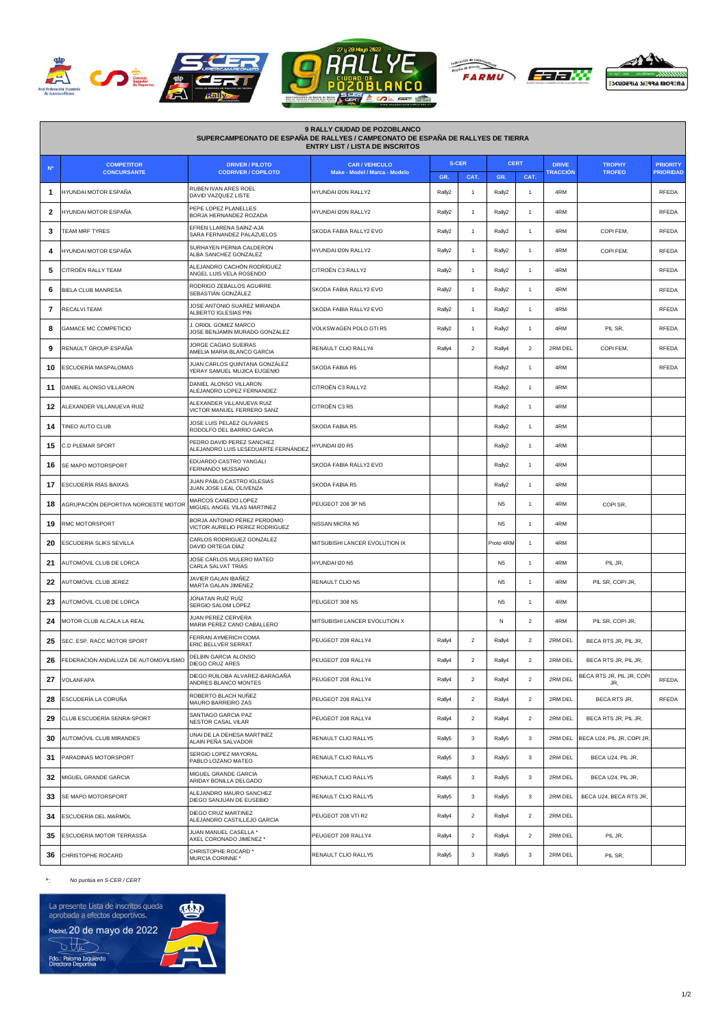







| <b>9 RALLY CIUDAD DE POZOBLANCO</b><br>SUPERCAMPEONATO DE ESPAÑA DE RALLYES / CAMPEONATO DE ESPAÑA DE RALLYES DE TIERRA<br><b>ENTRY LIST / LISTA DE INSCRITOS</b> |                                      |                                                                  |                                |              |                         |                |                         |              |                                  |                  |
|-------------------------------------------------------------------------------------------------------------------------------------------------------------------|--------------------------------------|------------------------------------------------------------------|--------------------------------|--------------|-------------------------|----------------|-------------------------|--------------|----------------------------------|------------------|
| $N^{\circ}$                                                                                                                                                       | <b>COMPETITOR</b>                    | <b>DRIVER / PILOTO</b>                                           | <b>CAR / VEHICULO</b>          | <b>S-CER</b> |                         | <b>CERT</b>    |                         | <b>DRIVE</b> | <b>TROPHY</b>                    | <b>PRIORITY</b>  |
|                                                                                                                                                                   | <b>CONCURSANTE</b>                   | <b>CODRIVER / COPILOTO</b>                                       | Make - Model / Marca - Modelo  | GR.          | CAT.                    | <b>GR</b>      | CAT.                    | TRACCIÓN     | <b>TROFEO</b>                    | <b>PRIORIDAD</b> |
| 1                                                                                                                                                                 | HYUNDAI MOTOR ESPAÑA                 | RUBEN IVAN ARES ROEL<br>DAVID VAZQUEZ LISTE                      | HYUNDAI I20N RALLY2            | Rally2       | $\overline{1}$          | Rally2         | 1                       | 4RM          |                                  | <b>RFEDA</b>     |
| 2                                                                                                                                                                 | -IYUNDAI MOTOR ESPAÑA                | PEPE LOPEZ PLANELLES<br>BORJA HERNANDEZ ROZADA                   | HYUNDAI I20N RALLY2            | Rally2       | $\mathbf{1}$            | Rally2         |                         | 4RM          |                                  | <b>RFEDA</b>     |
| 3                                                                                                                                                                 | <b>FEAM MRF TYRES</b>                | EFREN LLARENA SAINZ-AJA<br>SARA FERNANDEZ PALAZUELOS             | SKODA FABIA RALLY2 EVO         | Rally2       | $\mathbf{1}$            | Rally2         | 1                       | 4RM          | COPI FEM,                        | RFEDA            |
| 4                                                                                                                                                                 | HYUNDAI MOTOR ESPAÑA                 | SURHAYEN PERNIA CALDERON<br>ALBA SANCHEZ GONZALEZ                | HYUNDAI I20N RALLY2            | Rally2       | $\overline{1}$          | Rally2         | $\mathbf{1}$            | 4RM          | COPI FEM,                        | <b>RFEDA</b>     |
| 5                                                                                                                                                                 | CITROËN RALLY TEAM                   | ALEJANDRO CACHÓN RODRÍGUEZ<br>ANGEL LUIS VELA ROSENDO            | CITROËN C3 RALLY2              | Rally2       | $\mathbf{1}$            | Rally2         |                         | 4RM          |                                  | <b>RFEDA</b>     |
| 6                                                                                                                                                                 | BIELA CLUB MANRESA                   | RODRIGO ZEBALLOS AGUIRRE<br>SEBASTIÁN GONZÁLEZ                   | SKODA FABIA RALLY2 EVO         | Rally2       | $\mathbf{1}$            | Rally2         | $\mathbf{1}$            | 4RM          |                                  | <b>RFEDA</b>     |
| $\overline{7}$                                                                                                                                                    | RECALVITEAM                          | JOSE ANTONIO SUAREZ MIRANDA<br>ALBERTO IGLESIAS PIN              | SKODA FABIA RALLY2 EVO         | Rally2       | $\overline{1}$          | Rally2         | $\mathbf{1}$            | 4RM          |                                  | <b>RFEDA</b>     |
| 8                                                                                                                                                                 | <b>GAMACE MC COMPETICIO</b>          | . ORIOL GOMEZ MARCO<br>JOSE BENJAMIN MURADO GONZALEZ             | VOLKSWAGEN POLO GTI R5         | Rally2       |                         | Rally2         |                         | 4RM          | PIL SR,                          | <b>RFEDA</b>     |
| 9                                                                                                                                                                 | RENAULT GROUP ESPAÑA                 | JORGE CAGIAO SUEIRAS<br>AMELIA MARIA BLANCO GARCIA               | RENAULT CLIO RALLY4            | Rally4       | $\overline{2}$          | Rally4         | 2                       | 2RM DEL      | COPI FEM.                        | <b>RFEDA</b>     |
| 10                                                                                                                                                                | ESCUDERÍA MASPALOMAS                 | JUAN CARLOS QUINTANA GONZÁLEZ<br>YERAY SAMUEL MUJICA EUGENIO     | SKODA FABIA R5                 |              |                         | Rally2         | 1                       | 4RM          |                                  | <b>RFEDA</b>     |
| 11                                                                                                                                                                | DANIEL ALONSO VILLARON               | DANIEL ALONSO VILLARON<br>ALEJANDRO LOPEZ FERNANDEZ              | CITROËN C3 RALLY2              |              |                         | Rally2         | 1                       | 4RM          |                                  |                  |
| 12                                                                                                                                                                | ALEXANDER VILLANUEVA RUIZ            | ALEXANDER VILLANUEVA RUIZ<br>VICTOR MANUEL FERRERO SANZ          | CITROËN C3 R5                  |              |                         | Rally2         | $\mathbf{1}$            | 4RM          |                                  |                  |
| 14                                                                                                                                                                | <b>TINEO AUTO CLUB</b>               | JOSE LUIS PELAEZ OLIVARES<br>RODOLFO DEL BARRIO GARCIA           | SKODA FABIA R5                 |              |                         | Rally2         | 1                       | 4RM          |                                  |                  |
| 15                                                                                                                                                                | C.D PLEMAR SPORT                     | PEDRO DAVID PEREZ SANCHEZ<br>ALEJANDRO LUIS LESEDUARTE FERNÁNDEZ | HYUNDAI I20 R5                 |              |                         | Rally2         | 1                       | 4RM          |                                  |                  |
| 16                                                                                                                                                                | SE MAPO MOTORSPORT                   | EDUARDO CASTRO YANGALI<br>FERNANDO MUSSANO                       | SKODA FABIA RALLY2 EVO         |              |                         | Rally2         | $\mathbf{1}$            | 4RM          |                                  |                  |
| 17                                                                                                                                                                | ESCUDERÍA RÍAS BAIXAS                | JUAN PABLO CASTRO IGLESIAS<br>JUAN JOSE LEAL OLIVENZA            | SKODA FABIA R5                 |              |                         | Rally2         | 1                       | 4RM          |                                  |                  |
| 18                                                                                                                                                                | AGRUPACIÓN DEPORTIVA NOROESTE MOTOR  | MARCOS CANEDO LOPEZ<br>MIGUEL ANGEL VILAS MARTINEZ               | PEUGEOT 208 3P N5              |              |                         | N <sub>5</sub> | 1                       | 4RM          | COPI SR,                         |                  |
| 19                                                                                                                                                                | RMC MOTORSPORT                       | BORJA ANTONIO PÉREZ PERDOMO<br>VICTOR AURELIO PEREZ RODRIGUEZ    | NISSAN MICRA N5                |              |                         | N <sub>5</sub> | 1                       | 4RM          |                                  |                  |
| 20                                                                                                                                                                | ESCUDERIA SLIKS SEVILLA              | CARLOS RODRIGUEZ GONZALEZ<br>DAVID ORTEGA DÍAZ                   | MITSUBISHI LANCER EVOLUTION IX |              |                         | Proto 4RN      | 1                       | 4RM          |                                  |                  |
| 21                                                                                                                                                                | AUTOMÓVIL CLUB DE LORCA              | JOSE CARLOS MULERO MATEO<br><b>CARLA SALVAT TRIAS</b>            | HYUNDAI I20 N5                 |              |                         | N <sub>5</sub> | 1                       | 4RM          | PIL JR,                          |                  |
| 22                                                                                                                                                                | AUTOMÓVIL CLUB JEREZ                 | JAVIER GALAN IBAÑEZ<br>MARTA GALAN JIMENEZ                       | RENAULT CLIO N5                |              |                         | N <sub>5</sub> | $\mathbf{1}$            | 4RM          | PIL SR, COPI JR,                 |                  |
| 23                                                                                                                                                                | AUTOMÓVIL CLUB DE LORCA              | JONATAN RUÍZ RUÍZ<br>SERGIO SALOM LÓPEZ                          | PEUGEOT 308 N5                 |              |                         | N <sub>5</sub> | 1                       | 4RM          |                                  |                  |
| 24                                                                                                                                                                | MOTOR CLUB ALCALA LA REAL            | JUAN PEREZ CERVERA<br>MARIA PEREZ CANO CABALLERO                 | MITSUBISHI LANCER EVOLUTION X  |              |                         | N              | $\overline{2}$          | 4RM          | PIL SR, COPI JR,                 |                  |
| 25                                                                                                                                                                | SEC. ESP. RACC MOTOR SPORT           | FERRAN AYMERICH COMA<br>ERIC BELLVER SERRAT                      | PEUGEOT 208 RALLY4             | Rally4       | $\overline{2}$          | Rally4         | $\overline{2}$          | 2RM DEL      | BECA RTS JR, PIL JR,             |                  |
| 26                                                                                                                                                                | FEDERACIÓN ANDALUZA DE AUTOMOVILISMO | DELBIN GARCIA ALONSO<br>DIEGO CRUZ ARES                          | PEUGEOT 208 RALLY4             | Rally4       | $\overline{2}$          | Rally4         | $\overline{2}$          | 2RM DEL      | BECA RTS JR, PIL JR,             |                  |
| 27                                                                                                                                                                | VOLANFAPA                            | DIEGO RUILOBA ALVAREZ-BARAGAÑA<br>ANDRES BLANCO MONTES           | PEUGEOT 208 RALLY4             | Rally4       | $\sqrt{2}$              | Rally4         | $\overline{\mathbf{c}}$ | 2RM DEL      | BECA RTS JR, PIL JR, COPI<br>JR. | RFEDA            |
| 28                                                                                                                                                                | ESCUDERÍA LA CORUÑA                  | ROBERTO BLACH NUÑEZ<br>MAURO BARREIRO ZAS                        | PEUGEOT 208 RALLY4             | Rally4       | $\overline{2}$          | Rally4         | $\overline{2}$          | 2RM DEL      | <b>BECA RTS JR.</b>              | RFEDA            |
| 29                                                                                                                                                                | CLUB ESCUDERÍA SENRA-SPORT           | SANTIAGO GARCIA PAZ<br>NESTOR CASAL VILAR                        | PEUGEOT 208 RALLY4             | Rally4       | $\overline{2}$          | Rally4         | $\overline{2}$          | 2RM DEL      | BECA RTS JR, PIL JR,             |                  |
| 30                                                                                                                                                                | AUTOMÓVIL CLUB MIRANDES              | UNAI DE LA DEHESA MARTINEZ<br>ALAIN PEÑA SALVADOR                | RENAULT CLIO RALLY5            | Rally5       | $\mathbf 3$             | Rally5         | $\mathbf 3$             | 2RM DEL      | BECA U24, PIL JR, COPI JR,       |                  |
| 31                                                                                                                                                                | PARADINAS MOTORSPORT                 | SERGIO LOPEZ MAYORAL<br>PABLO LOZANO MATEO                       | RENAULT CLIO RALLY5            | Rally5       | 3                       | Rally5         | 3                       | 2RM DEL      | BECA U24, PIL JR,                |                  |
| 32                                                                                                                                                                | MIGUEL GRANDE GARCIA                 | MIGUEL GRANDE GARCIA<br>ARIDAY BONILLA DELGADO                   | RENAULT CLIO RALLY5            | Rally5       | $\mathbf{3}$            | Rally5         | 3                       | 2RM DEL      | BECA U24, PIL JR,                |                  |
| 33                                                                                                                                                                | SE MAPO MOTORSPORT                   | ALEJANDRO MAURO SANCHEZ<br>DIEGO SANJUAN DE EUSEBIO              | RENAULT CLIO RALLY5            | Rally5       | $\mathbf{3}$            | Rally5         | 3                       | 2RM DEL      | BECA U24, BECA RTS JR,           |                  |
| 34                                                                                                                                                                | ESCUDERIA DEL MARMOL                 | DIEGO CRUZ MARTINEZ<br>ALEJANDRO CASTILLEJO GARCIA               | PEUGEOT 208 VTI R2             | Rally4       | $\overline{2}$          | Rally4         | $\overline{2}$          | 2RM DEL      |                                  |                  |
| 35                                                                                                                                                                | ESCUDERIA MOTOR TERRASSA             | JUAN MANUEL CASELLA *<br>AXEL CORONADO JIMENEZ <sup>*</sup>      | PEUGEOT 208 RALLY4             | Rally4       | $\overline{\mathbf{2}}$ | Rally4         | 2                       | 2RM DEL      | PIL JR,                          |                  |
| 36                                                                                                                                                                | CHRISTOPHE ROCARD                    | CHRISTOPHE ROCARD *<br>MURCIA CORINNE *                          | RENAULT CLIO RALLY5            | Rally5       | $\mathbf{3}$            | Rally5         | 3                       | 2RM DEL      | PIL SR,                          |                  |

\*: *No puntúa en S-CER / CERT*